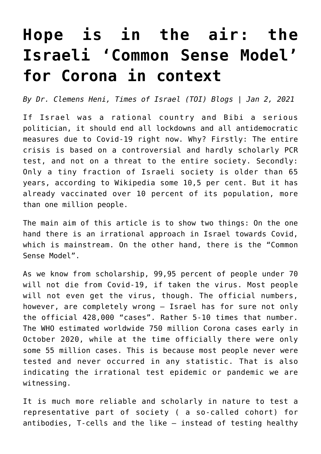# **[Hope is in the air: the](https://www.clemensheni.net/hope-is-in-the-air-the-israeli-common-sense-model-for-corona-in-context/) [Israeli 'Common Sense Model'](https://www.clemensheni.net/hope-is-in-the-air-the-israeli-common-sense-model-for-corona-in-context/) [for Corona in context](https://www.clemensheni.net/hope-is-in-the-air-the-israeli-common-sense-model-for-corona-in-context/)**

*By Dr. Clemens Heni, [Times of Israel \(TOI\) Blogs | Jan 2, 2021](https://blogs.timesofisrael.com/hope-is-in-the-air-the-israeli-common-sense-model-for-corona-in-context/)*

If Israel was a rational country and Bibi a serious politician, it should end all lockdowns and all antidemocratic measures due to Covid-19 right now. Why? Firstly: The entire crisis is based on a controversial and hardly scholarly PCR test, and not on a threat to the entire society. Secondly: Only a tiny fraction of Israeli society is older than 65 years, according to Wikipedia some 10,5 per cent. But it has [already vaccinated over 10 percent of its population, more](https://www.timesofisrael.com/israel-reaches-1-million-mark-in-vaccinations-far-outpacing-rest-of-world/) [than one million people.](https://www.timesofisrael.com/israel-reaches-1-million-mark-in-vaccinations-far-outpacing-rest-of-world/)

The main aim of this article is to show two things: On the one hand there is an irrational approach in Israel towards Covid, which is mainstream. On the other hand, there is the "Common Sense Model".

As we know from scholarship, [99,95 percent of people under 70](https://ciudadanospormexico.org/covid-19-has-a-99-95-survival-rate-for-people-under-70-stanford-professor-of-medicine/) [will not die from Covid-19](https://ciudadanospormexico.org/covid-19-has-a-99-95-survival-rate-for-people-under-70-stanford-professor-of-medicine/), if taken the virus. Most people will not even get the virus, though. The official numbers, however, are completely wrong – Israel has for sure not only the official 428,000 "cases". Rather 5-10 times that number[.](https://www.irishtimes.com/news/ireland/irish-news/covid-19-world-in-for-a-hell-of-a-ride-in-coming-months-dr-mike-ryan-says-1.4370626) [The WHO estimated worldwide 750 million Corona cases early in](https://www.irishtimes.com/news/ireland/irish-news/covid-19-world-in-for-a-hell-of-a-ride-in-coming-months-dr-mike-ryan-says-1.4370626) [October 2020, while at the time officially there were only](https://www.irishtimes.com/news/ireland/irish-news/covid-19-world-in-for-a-hell-of-a-ride-in-coming-months-dr-mike-ryan-says-1.4370626) [some 55 million cases.](https://www.irishtimes.com/news/ireland/irish-news/covid-19-world-in-for-a-hell-of-a-ride-in-coming-months-dr-mike-ryan-says-1.4370626) This is because most people never were tested and never occurred in any statistic. That is also indicating the irrational test epidemic or pandemic we are witnessing.

It is much more reliable and scholarly in nature to test a representative part of society ( a so-called cohort) for antibodies, T-cells and the like – instead of testing healthy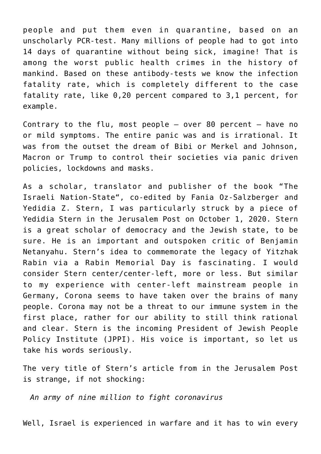people and put them even in quarantine, based on an unscholarly PCR-test. Many millions of people had to got into 14 days of quarantine without being sick, imagine! That is among the worst public health crimes in the history of mankind. Based on these antibody-tests we know the infection fatality rate, which is completely different to the case fatality rate, like 0,20 percent compared to 3,1 percent, for example.

Contrary to the flu, most people  $-$  over 80 percent  $-$  have no or mild symptoms. The entire panic was and is irrational. It was from the outset the dream of Bibi or Merkel and Johnson, Macron or Trump to control their societies via panic driven policies, lockdowns and masks.

As a scholar, translator and publisher of the book "[The](https://www.editioncritic.de/allgemein/neuerscheinung-16-februar-2017-fania-oz-salzbergeryedidia-z-stern-hrsg-der-israelische-nationalstaat/) [Israeli Nation-State"](https://www.editioncritic.de/allgemein/neuerscheinung-16-februar-2017-fania-oz-salzbergeryedidia-z-stern-hrsg-der-israelische-nationalstaat/), co-edited by Fania Oz-Salzberger and Yedidia Z. Stern, I was particularly struck by a piece of Yedidia Stern in the Jerusalem Post on October 1, 2020. Stern is a great scholar of democracy and the Jewish state, to be sure. He is an important and outspoken critic of Benjamin Netanyahu. Stern's idea to commemorate the legacy of Yitzhak Rabin [via a Rabin Memorial Day is fascinating](https://blogs.timesofisrael.com/yitzhaks-blood-cries-out-to-us-from-the-ground/). I would consider Stern center/center-left, more or less. But similar to my experience with center-left mainstream people in Germany, Corona seems to have taken over the brains of many people. Corona may not be a threat to our immune system in the first place, rather for our ability to still think rational and clear. Stern is the [incoming President of Jewish People](https://www.jewishagency.org/prof-yedidia-stern-chosen-as-new-jppi-president/) [Policy Institute \(JPPI\).](https://www.jewishagency.org/prof-yedidia-stern-chosen-as-new-jppi-president/) His voice is important, so let us take his words seriously.

The very title of Stern's article from in the Jerusalem Post is strange, if not shocking:

*[An army of nine million to fight coronavirus](https://www.jpost.com/opinion/an-army-of-nine-million-644213)*

Well, Israel is experienced in warfare and it has to win every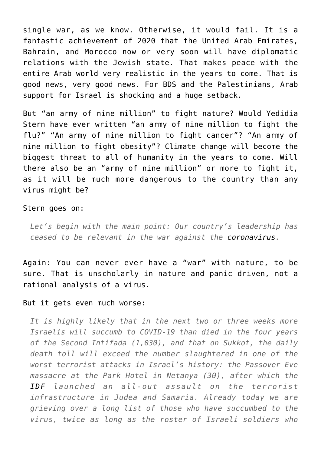single war, as we know. Otherwise, it would fail. It is a fantastic achievement of 2020 that the [United Arab Emirates,](https://www.nytimes.com/2020/12/10/world/middleeast/israel-morocco-trump.html) [Bahrain, and Morocco now or very soon will have diplomatic](https://www.nytimes.com/2020/12/10/world/middleeast/israel-morocco-trump.html) [relations with the Jewish state](https://www.nytimes.com/2020/12/10/world/middleeast/israel-morocco-trump.html). That makes peace with the entire Arab world very realistic in the years to come. That is good news, very good news. For BDS and the Palestinians, Arab support for Israel is shocking and a huge setback.

But "an army of nine million" to fight nature? Would Yedidia Stern have ever written "an army of nine million to fight the flu?" "An army of nine million to fight cancer"? "An army of nine million to fight obesity"? Climate change will become the biggest threat to all of humanity in the years to come. Will there also be an "army of nine million" or more to fight it, as it will be much more dangerous to the country than any virus might be?

#### Stern goes on:

*Let's begin with the main point: Our country's leadership has ceased to be relevant in the war against the [coronavirus](https://www.jpost.com/coronavirus).*

Again: You can never ever have a "war" with nature, to be sure. That is unscholarly in nature and panic driven, not a rational analysis of a virus.

#### But it gets even much worse:

*It is highly likely that in the next two or three weeks more Israelis will succumb to COVID-19 than died in the four years of the Second Intifada (1,030), and that on Sukkot, the daily death toll will exceed the number slaughtered in one of the worst terrorist attacks in Israel's history: the Passover Eve massacre at the Park Hotel in Netanya (30), after which the [IDF](https://www.jpost.com/tags/idf) launched an all-out assault on the terrorist infrastructure in Judea and Samaria. Already today we are grieving over a long list of those who have succumbed to the virus, twice as long as the roster of Israeli soldiers who*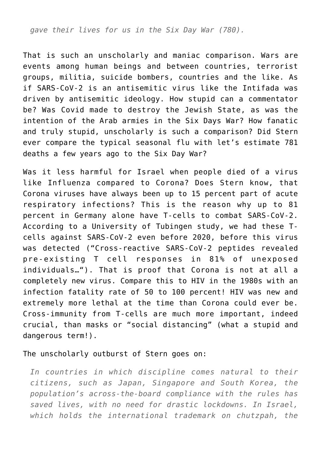*gave their lives for us in the Six Day War (780).*

That is such an unscholarly and maniac comparison. Wars are events among human beings and between countries, terrorist groups, militia, suicide bombers, countries and the like. As if SARS-CoV-2 is an antisemitic virus like the Intifada was driven by antisemitic ideology. How stupid can a commentator be? Was Covid made to destroy the Jewish State, as was the intention of the Arab armies in the Six Days War? How fanatic and truly stupid, unscholarly is such a comparison? Did Stern ever compare the typical seasonal flu with let's estimate 781 deaths a few years ago to the Six Day War?

Was it less harmful for Israel when people died of a virus like Influenza compared to Corona? Does Stern know, that Corona viruses have always been up to 15 percent part of acute respiratory infections? This is the reason why up to 81 percent in Germany alone have T-cells to combat SARS-CoV-2. According to a University of Tubingen study, we had these Tcells against SARS-CoV-2 even before 2020, before this virus was detected (["Cross-reactive SARS-CoV-2 peptides revealed](https://www.nature.com/articles/s41590-020-00808-x) [pre-existing T cell responses in 81% of unexposed](https://www.nature.com/articles/s41590-020-00808-x) [individuals…](https://www.nature.com/articles/s41590-020-00808-x)"). That is proof that Corona is not at all a completely new virus. Compare this to HIV in the 1980s with an infection fatality rate of 50 to 100 percent! HIV was new and extremely more lethal at the time than Corona could ever be. Cross-immunity from T-cells are much more important, indeed crucial, than masks or "social distancing" (what a stupid and dangerous term!).

#### The unscholarly outburst of Stern goes on:

*In countries in which discipline comes natural to their citizens, such as Japan, Singapore and South Korea, the population's across-the-board compliance with the rules has saved lives, with no need for drastic lockdowns. In Israel, which holds the international trademark on chutzpah, the*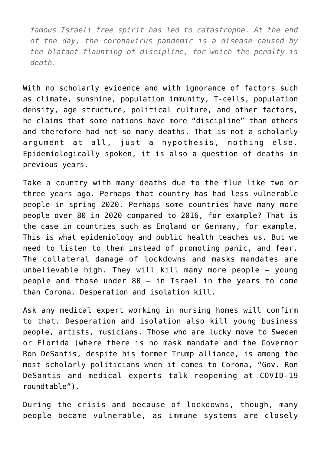*famous Israeli free spirit has led to catastrophe. At the end of the day, the coronavirus pandemic is a disease caused by the blatant flaunting of discipline, for which the penalty is death.*

With no scholarly evidence and with ignorance of factors such as climate, sunshine, population immunity, T-cells, population density, age structure, political culture, and other factors, he claims that some nations have more "discipline" than others and therefore had not so many deaths. That is not a scholarly argument at all, just a hypothesis, nothing else. Epidemiologically spoken, it is also a question of deaths in previous years.

Take a country with many deaths due to the flue like two or three years ago. Perhaps that country has had less vulnerable people in spring 2020. Perhaps some countries have many more people over 80 in 2020 compared to 2016, for example? That is the case in countries such as England or Germany, for example. This is what epidemiology and public health teaches us. But we need to listen to them instead of promoting panic, and fear. The collateral damage of lockdowns and masks mandates are unbelievable high. They will kill many more people – young people and those under 80 – in Israel in the years to come than Corona. Desperation and isolation kill.

Ask any medical expert working in nursing homes will confirm to that. Desperation and isolation also kill young business people, artists, musicians. Those who are lucky move to Sweden or Florida (where there is no mask mandate and the Governor Ron DeSantis, despite his former Trump alliance, is among the most scholarly politicians when it comes to Corona, "[Gov. Ron](https://eu.heraldtribune.com/story/news/2020/09/24/desantis-roundtable-on-public-health/3515876001/) [DeSantis and medical experts talk reopening at COVID-19](https://eu.heraldtribune.com/story/news/2020/09/24/desantis-roundtable-on-public-health/3515876001/) [roundtable"](https://eu.heraldtribune.com/story/news/2020/09/24/desantis-roundtable-on-public-health/3515876001/)).

During the crisis and because of lockdowns, though, many people became vulnerable, as immune systems are closely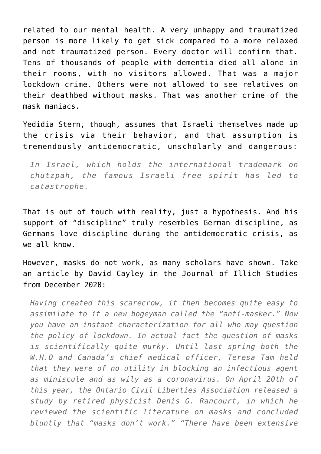related to our mental health. A very unhappy and traumatized person is more likely to get sick compared to a more relaxed and not traumatized person. Every doctor will confirm that. Tens of thousands of people with dementia died all alone in their rooms, with no visitors allowed. That was a major lockdown crime. Others were not allowed to see relatives on their deathbed without masks. That was another crime of the mask maniacs.

Yedidia Stern, though, assumes that Israeli themselves made up the crisis via their behavior, and that assumption is tremendously antidemocratic, unscholarly and dangerous:

*In Israel, which holds the international trademark on chutzpah, the famous Israeli free spirit has led to catastrophe.*

That is out of touch with reality, just a hypothesis. And his support of "discipline" truly resembles German discipline, as Germans love discipline during the antidemocratic crisis, as we all know.

However, masks do not work, as many scholars have shown. Take an article by [David Cayley in the Journal of Illich Studies](https://journals.psu.edu/illichstudies/article/view/62314/61620) [from December 2020:](https://journals.psu.edu/illichstudies/article/view/62314/61620)

*Having created this scarecrow, it then becomes quite easy to assimilate to it a new bogeyman called the "anti-masker." Now you have an instant characterization for all who may question the policy of lockdown. In actual fact the question of masks is scientifically quite murky. Until last spring both the W.H.O and Canada's chief medical officer, Teresa Tam held that they were of no utility in blocking an infectious agent as miniscule and as wily as a coronavirus. On April 20th of this year, the Ontario Civil Liberties Association released a study by retired physicist Denis G. Rancourt, in which he reviewed the scientific literature on masks and concluded bluntly that "masks don't work." "There have been extensive*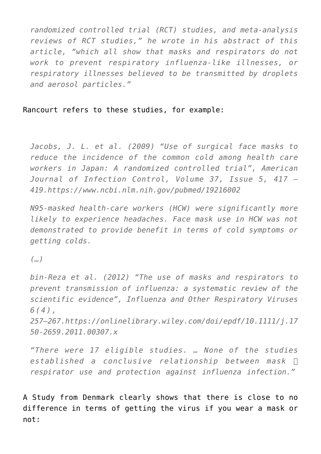*randomized controlled trial (RCT) studies, and meta-analysis reviews of RCT studies," he wrote in his abstract of this article, "which all show that masks and respirators do not work to prevent respiratory influenza-like illnesses, or respiratory illnesses believed to be transmitted by droplets and aerosol particles."*

### Rancourt refers to these studies, for example:

*Jacobs, J. L. et al. (2009) "Use of surgical face masks to reduce the incidence of the common cold among health care workers in Japan: A randomized controlled trial", American Journal of Infection Control, Volume 37, Issue 5, 417 – 419.https://www.ncbi.nlm.nih.gov/pubmed/19216002*

*N95-masked health-care workers (HCW) were significantly more likely to experience headaches. Face mask use in HCW was not demonstrated to provide benefit in terms of cold symptoms or getting colds.*

*(…)*

*bin-Reza et al. (2012) "The use of masks and respirators to prevent transmission of influenza: a systematic review of the scientific evidence", Influenza and Other Respiratory Viruses 6(4),*

*257–267.https://onlinelibrary.wiley.com/doi/epdf/10.1111/j.17 50-2659.2011.00307.x*

*"There were 17 eligible studies. … None of the studies established a conclusive relationship between mask ⁄ respirator use and protection against influenza infection."*

[A Study from Denmark](https://www.acpjournals.org/doi/10.7326/M20-6817) clearly shows that there is close to no difference in terms of getting the virus if you wear a mask or not: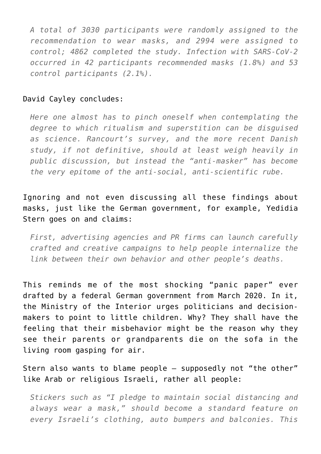*A total of 3030 participants were randomly assigned to the recommendation to wear masks, and 2994 were assigned to control; 4862 completed the study. Infection with SARS-CoV-2 occurred in 42 participants recommended masks (1.8%) and 53 control participants (2.1%).*

#### David Cayley concludes:

*Here one almost has to pinch oneself when contemplating the degree to which ritualism and superstition can be disguised as science. Rancourt's survey, and the more recent Danish study, if not definitive, should at least weigh heavily in public discussion, but instead the "anti-masker" has become the very epitome of the anti-social, anti-scientific rube.*

Ignoring and not even discussing all these findings about masks, just like the German government, for example, Yedidia Stern goes on and claims:

*First, advertising agencies and PR firms can launch carefully crafted and creative campaigns to help people internalize the link between their own behavior and other people's deaths.*

This reminds me of the most shocking "[panic paper"](https://www.abgeordnetenwatch.de/blog/informationsfreiheit/das-interne-strategiepapier-des-innenministeriums-zur-corona-pandemie) ever drafted by a federal German government from March 2020. In it, the Ministry of the Interior urges politicians and decisionmakers to point to little children. Why? They shall have the feeling that their misbehavior might be the reason why they see their parents or grandparents die on the sofa in the living room gasping for air.

Stern also wants to blame people – supposedly not "the other" like Arab or religious Israeli, rather all people:

*Stickers such as "I pledge to maintain social distancing and always wear a mask," should become a standard feature on every Israeli's clothing, auto bumpers and balconies. This*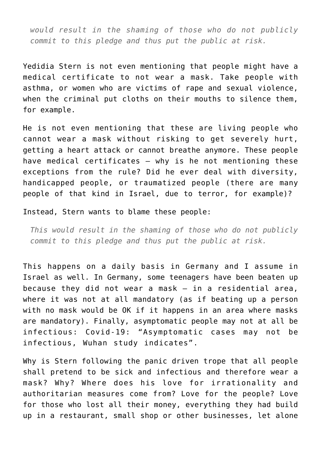*would result in the shaming of those who do not publicly commit to this pledge and thus put the public at risk.*

Yedidia Stern is not even mentioning that people might have a medical certificate to not wear a mask. Take people with asthma, or women who are victims of rape and sexual violence, when the criminal put cloths on their mouths to silence them, for example.

He is not even mentioning that these are living people who cannot wear a mask without risking to get severely hurt, getting a heart attack or cannot breathe anymore. These people have medical certificates – why is he not mentioning these exceptions from the rule? Did he ever deal with diversity, handicapped people, or traumatized people (there are many people of that kind in Israel, due to terror, for example)?

Instead, Stern wants to blame these people:

*This would result in the shaming of those who do not publicly commit to this pledge and thus put the public at risk.*

This happens on a daily basis in Germany and I assume in Israel as well. In Germany, some teenagers have been beaten up because they did not wear a mask – in a residential area, where it was not at all mandatory (as if beating up a person with no mask would be OK if it happens in an area where masks are mandatory). Finally, asymptomatic people may not at all be infectious: Covid-19: "[Asymptomatic cases may not be](https://www.bmj.com/content/371/bmj.m4695) [infectious, Wuhan study indicates"](https://www.bmj.com/content/371/bmj.m4695).

Why is Stern following the panic driven trope that all people shall pretend to be sick and infectious and therefore wear a mask? Why? Where does his love for irrationality and authoritarian measures come from? Love for the people? Love for those who lost all their money, everything they had build up in a restaurant, small shop or other businesses, let alone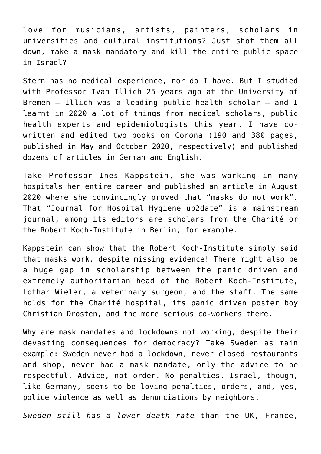love for musicians, artists, painters, scholars in universities and cultural institutions? Just shot them all down, make a mask mandatory and kill the entire public space in Israel?

Stern has no medical experience, nor do I have. But I studied with Professor Ivan Illich 25 years ago at the University of Bremen – Illich was a leading public health scholar – and I learnt in 2020 a lot of things from medical scholars, public health experts and epidemiologists this year. I have cowritten and edited two books on Corona (190 and 380 pages, published in [May](https://www.editioncritic.de/allgemein/neuerscheinung-corona-und-die-demokratie-eine-linke-kritik-gerald-grueneklee-clemens-heni-peter-nowak/) and [October 2020](https://www.editioncritic.de/allgemein/neuerscheinung-im-oktober-2020-clemens-heni-hg-gefaehrderansprache/), respectively) and published dozens of articles in German and English.

Take [Professor Ines Kappstein,](https://www.thieme-connect.com/products/ejournals/abstract/10.1055/a-1174-6591) she was working in many hospitals her entire career and published an article in August 2020 where she convincingly proved that "masks do not work". That "Journal for Hospital Hygiene up2date" is a mainstream journal, among its editors are scholars from the Charité or the Robert Koch-Institute in Berlin, for example.

Kappstein can show that the Robert Koch-Institute simply said that masks work, despite missing evidence! There might also be a huge gap in scholarship between the panic driven and extremely authoritarian head of the Robert Koch-Institute, Lothar Wieler, a veterinary surgeon, and the staff. The same holds for the Charité hospital, its panic driven poster boy Christian Drosten, and the more serious co-workers there.

Why are mask mandates and lockdowns not working, despite their devasting consequences for democracy? Take Sweden as main example: Sweden never had a lockdown, never closed restaurants and shop, never had a mask mandate, only the advice to be respectful. Advice, not order. No penalties. Israel, though, like Germany, seems to be loving penalties, orders, and, yes, police violence as well as denunciations by neighbors.

*[Sweden still has a lower death rate](https://www.worldometers.info/coronavirus/)* than the UK, France,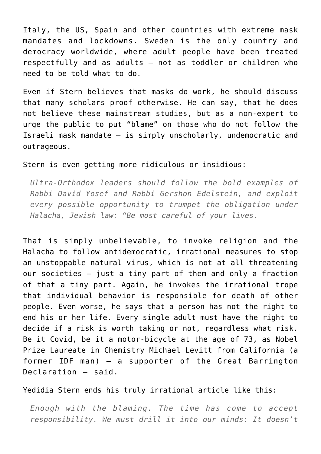Italy, the US, Spain and other countries with extreme mask mandates and lockdowns. Sweden is the only country and democracy worldwide, where adult people have been treated respectfully and as adults – not as toddler or children who need to be told what to do.

Even if Stern believes that masks do work, he should discuss that many scholars proof otherwise. He can say, that he does not believe these mainstream studies, but as a non-expert to urge the public to put "blame" on those who do not follow the Israeli mask mandate – is simply unscholarly, undemocratic and outrageous.

#### Stern is even getting more ridiculous or insidious:

*Ultra-Orthodox leaders should follow the bold examples of Rabbi David Yosef and Rabbi Gershon Edelstein, and exploit every possible opportunity to trumpet the obligation under Halacha, Jewish law: "Be most careful of your lives.*

That is simply unbelievable, to invoke religion and the Halacha to follow antidemocratic, irrational measures to stop an unstoppable natural virus, which is not at all threatening our societies – just a tiny part of them and only a fraction of that a tiny part. Again, he invokes the irrational trope that individual behavior is responsible for death of other people. Even worse, he says that a person has not the right to end his or her life. Every single adult must have the right to decide if a risk is worth taking or not, regardless what risk. Be it Covid, [be it a motor-bicycle at the age of 73, as Nobel](https://www.wflx.com/2020/09/24/gov-desantis-seeks-alleviate-coronvirus-fears/) [Prize Laureate in Chemistry Michael Levitt from California \(a](https://www.wflx.com/2020/09/24/gov-desantis-seeks-alleviate-coronvirus-fears/) [former IDF man\) – a supporter of the Great Barrington](https://www.wflx.com/2020/09/24/gov-desantis-seeks-alleviate-coronvirus-fears/) [Declaration – said.](https://www.wflx.com/2020/09/24/gov-desantis-seeks-alleviate-coronvirus-fears/)

## Yedidia Stern ends his truly irrational article like this:

*Enough with the blaming. The time has come to accept responsibility. We must drill it into our minds: It doesn't*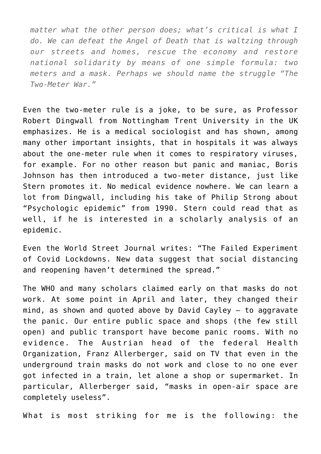*matter what the other person does; what's critical is what I do. We can defeat the Angel of Death that is waltzing through our streets and homes, rescue the economy and restore national solidarity by means of one simple formula: two meters and a mask. Perhaps we should name the struggle "The Two-Meter War."*

Even the two-meter rule is a joke, to be sure, as [Professor](https://www.dailymail.co.uk/news/article-8339837/Government-scientist-says-2m-social-distancing-rule-based-fragile-evidence.html) [Robert Dingwall](https://www.dailymail.co.uk/news/article-8339837/Government-scientist-says-2m-social-distancing-rule-based-fragile-evidence.html) from Nottingham Trent University in the UK emphasizes. He is a medical sociologist and has shown, among many other important insights, that in hospitals it was always about the one-meter rule when it comes to respiratory viruses, for example. For no other reason but panic and maniac, Boris Johnson has then introduced a two-meter distance, just like Stern promotes it. No medical evidence nowhere. We can learn [a](https://www.clemensheni.net/prof-robert-dingwall-on-corona-sociology-and-the-uk-situation/) [lot](https://www.clemensheni.net/prof-robert-dingwall-on-corona-sociology-and-the-uk-situation/) [from Dingwall,](https://www.clemensheni.net/big-cities-mental-health-and-covid-learning-from-sociologists-georg-simmel-and-robert-dingwall/) including his take of Philip Strong about "[Psychologic epidemic"](https://onlinelibrary.wiley.com/doi/pdf/10.1111/1467-9566.ep11347150) from 1990. Stern could read that as well, if he is interested in a scholarly analysis of an epidemic.

Even the World Street Journal writes: "[The Failed Experiment](https://www.wsj.com/articles/the-failed-experiment-of-covid-lockdowns-11599000890) [of Covid Lockdowns.](https://www.wsj.com/articles/the-failed-experiment-of-covid-lockdowns-11599000890) New data suggest that social distancing and reopening haven't determined the spread."

The WHO and many scholars claimed early on that masks do not work. At some point in April and later, they changed their mind, as shown and quoted above by David Cayley – to aggravate the panic. Our entire public space and shops (the few still open) and public transport have become panic rooms. With no evidence. The Austrian head of the federal Health Organization, [Franz Allerberger, said on TV that even in the](https://orf.at/stories/3178120/) [underground train masks do not work and close to no one ever](https://orf.at/stories/3178120/) [got infected in a train, let alone a shop or supermarket.](https://orf.at/stories/3178120/) In particular, Allerberger said, "masks in open-air space are completely useless".

What is most striking for me is the following: the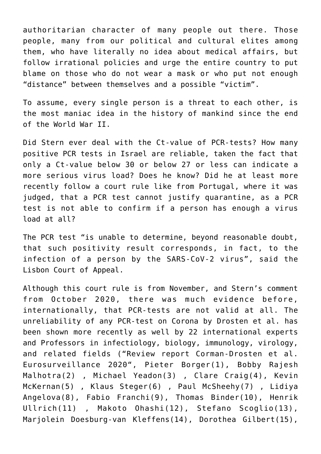authoritarian character of many people out there. Those people, many from our political and cultural elites among them, who have literally no idea about medical affairs, but follow irrational policies and urge the entire country to put blame on those who do not wear a mask or who put not enough "distance" between themselves and a possible "victim".

To assume, every single person is a threat to each other, is the most maniac idea in the history of mankind since the end of the World War II.

Did Stern ever deal with the Ct-value of PCR-tests? How many positive PCR tests in Israel are reliable, taken the fact that only a Ct-value below 30 or below 27 or less can indicate a more serious virus load? Does he know? [Did he at least more](https://www.theportugalnews.com/news/2020-11-21/court-decides-that-quarantine-in-state-of-alert-is-illegal/56830) [recently follow a court rule like from Portugal, where it was](https://www.theportugalnews.com/news/2020-11-21/court-decides-that-quarantine-in-state-of-alert-is-illegal/56830) [judged, that a PCR test cannot justify quarantine](https://www.theportugalnews.com/news/2020-11-21/court-decides-that-quarantine-in-state-of-alert-is-illegal/56830), as a PCR test is not able to confirm if a person has enough a virus load at all?

The PCR test "is unable to determine, beyond reasonable doubt, that such positivity result corresponds, in fact, to the infection of a person by the SARS-CoV-2 virus", said the Lisbon Court of Appeal.

Although this court rule is from November, and Stern's comment from October 2020, there was much evidence before, internationally, that PCR-tests are not valid at all. [The](https://retractionwatch.com/2020/12/07/public-health-journal-seeking-further-expert-advice-on-january-paper-about-covid-19-pcr-testing-by-high-profile-virologist/) [unreliability of any PCR-test on Corona by Drosten et al.](https://retractionwatch.com/2020/12/07/public-health-journal-seeking-further-expert-advice-on-january-paper-about-covid-19-pcr-testing-by-high-profile-virologist/) has been shown more recently as well by 22 international experts and Professors in infectiology, biology, immunology, virology, and related fields ("[Review report Corman-Drosten et al.](https://cormandrostenreview.com/report/) [Eurosurveillance 2020"](https://cormandrostenreview.com/report/), Pieter Borger(1), Bobby Rajesh Malhotra(2), Michael Yeadon(3), Clare Craig(4), Kevin McKernan(5) , Klaus Steger(6) , Paul McSheehy(7) , Lidiya Angelova(8), Fabio Franchi(9), Thomas Binder(10), Henrik Ullrich(11) , Makoto Ohashi(12), Stefano Scoglio(13), Marjolein Doesburg-van Kleffens(14), Dorothea Gilbert(15),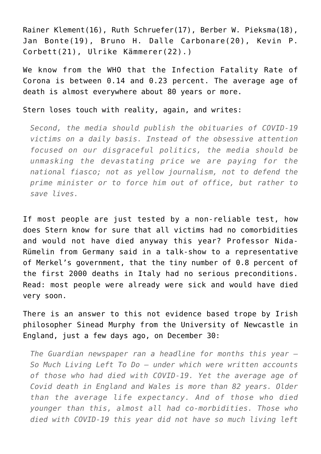Rainer Klement(16), Ruth Schruefer(17), Berber W. Pieksma(18), Jan Bonte(19), Bruno H. Dalle Carbonare(20), Kevin P. Corbett(21), Ulrike Kämmerer(22).)

We know from the WHO that the Infection Fatality Rate of Corona is between [0.14](https://www.irishtimes.com/news/ireland/irish-news/covid-19-world-in-for-a-hell-of-a-ride-in-coming-months-dr-mike-ryan-says-1.4370626) and [0.23 percent.](https://www.who.int/bulletin/online_first/BLT.20.265892.pdf) The average age of death is almost everywhere about 80 years or more.

Stern loses touch with reality, again, and writes:

*Second, the media should publish the obituaries of COVID-19 victims on a daily basis. Instead of the obsessive attention focused on our disgraceful politics, the media should be unmasking the devastating price we are paying for the national fiasco; not as yellow journalism, not to defend the prime minister or to force him out of office, but rather to save lives.*

If most people are just tested by a non-reliable test, how does Stern know for sure that all victims had no comorbidities and would not have died anyway this year? Professor Nida-Rümelin from Germany said in a talk-show to a representative of Merkel's government, that the tiny number of 0.8 percent of the first 2000 deaths in Italy had no serious preconditions. Read: most people were already were sick and would have died very soon.

There is an answer to this not evidence based trope by Irish philosopher [Sinead Murphy](https://lockdownsceptics.org/lest-we-forget-life-is-not-non-death/) from the University of Newcastle in England, just a few days ago, on December 30:

*The Guardian newspaper ran a headline for months this year – So Much Living Left To Do – under which were written accounts of those who had died with COVID-19. Yet the average age of Covid death in England and Wales is more than 82 years. Older than the average life expectancy. And of those who died younger than this, almost all had co-morbidities. Those who died with COVID-19 this year did not have so much living left*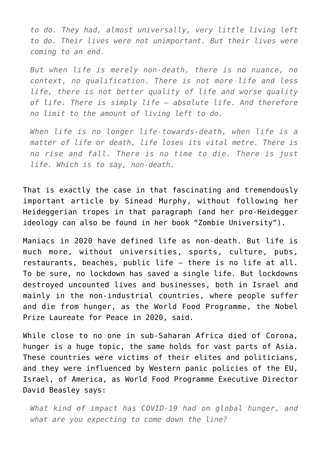*to do. They had, almost universally, very little living left to do. Their lives were not unimportant. But their lives were coming to an end.*

*But when life is merely non-death, there is no nuance, no context, no qualification. There is not more life and less life, there is not better quality of life and worse quality of life. There is simply life – absolute life. And therefore no limit to the amount of living left to do.*

*When life is no longer life-towards-death, when life is a matter of life or death, life loses its vital metre. There is no rise and fall. There is no time to die. There is just life. Which is to say, non-death.*

That is exactly the case in that fascinating and tremendously important article by Sinead Murphy, without following her Heideggerian tropes in that paragraph (and her pro-Heidegger ideology can also be found in her book "Zombie University").

Maniacs in 2020 have defined life as non-death. But life is much more, without universities, sports, culture, pubs, restaurants, beaches, public life – there is no life at all. To be sure, no lockdown has saved a single life. But lockdowns destroyed uncounted lives and businesses, both in Israel and mainly in the non-industrial countries, where people suffer and die from hunger, as the World Food Programme, the Nobel Prize Laureate for Peace in 2020, said.

While close to no one in sub-Saharan Africa died of Corona, hunger is a huge topic, the same holds for vast parts of Asia. These countries were victims of their elites and politicians, and they were influenced by Western panic policies of the EU, Israel, of America, as [World Food Programme Executive Director](https://time.com/5917347/world-food-programme-hunger-covid-19/) [David Beasley says:](https://time.com/5917347/world-food-programme-hunger-covid-19/)

*What kind of impact has COVID-19 had on global hunger, and what are you expecting to come down the line?*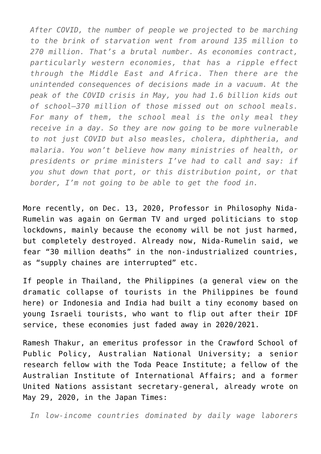*After COVID, the number of people we projected to be marching to the brink of starvation went from around 135 million to 270 million. That's a brutal number. As economies contract, particularly western economies, that has a ripple effect through the Middle East and Africa. Then there are the unintended consequences of decisions made in a vacuum. At the peak of the COVID crisis in May, you had 1.6 billion kids out of school—370 million of those missed out on school meals. For many of them, the school meal is the only meal they receive in a day. So they are now going to be more vulnerable to not just COVID but also measles, cholera, diphtheria, and malaria. You won't believe how many ministries of health, or presidents or prime ministers I've had to call and say: if you shut down that port, or this distribution point, or that border, I'm not going to be able to get the food in.*

More recently, on Dec. 13, 2020, Professor in Philosophy Nida-Rumelin was again on German TV and urged politicians to stop lockdowns, mainly because the economy will be not just harmed, but completely destroyed. [Already now, Nida-Rumelin said, we](https://www.youtube.com/watch?v=4WA4VoWTm4Q&list=UUVrfg1BUJLYvQK5eJfvQjfQ) [fear "30 million deaths" in the non-industrialized countries,](https://www.youtube.com/watch?v=4WA4VoWTm4Q&list=UUVrfg1BUJLYvQK5eJfvQjfQ) [as "supply chaines are interrupted" etc](https://www.youtube.com/watch?v=4WA4VoWTm4Q&list=UUVrfg1BUJLYvQK5eJfvQjfQ).

If people in Thailand, the Philippines (a general view on the dramatic collapse of tourists in the Philippines be found [here](https://www.pwc.com/ph/en/publications/tourism-pwc-philippines/tourism-covid-19.html)) or Indonesia and India had built a tiny economy based on young Israeli tourists, who want to flip out after their IDF service, these economies just faded away in 2020/2021.

[Ramesh Thakur](https://www.japantimes.co.jp/opinion/2020/05/29/commentary/world-commentary/six-deadly-lockdown-sins/), an emeritus professor in the Crawford School of Public Policy, Australian National University; a senior research fellow with the Toda Peace Institute; a fellow of the Australian Institute of International Affairs; and a former United Nations assistant secretary-general, already wrote on May 29, 2020, in the Japan Times:

*In low-income countries dominated by daily wage laborers*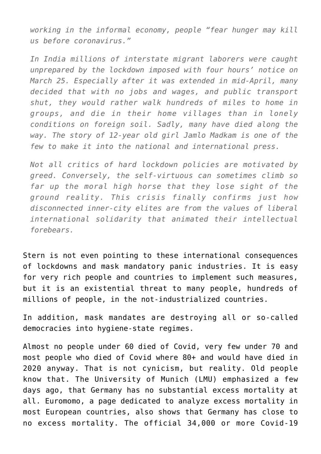*working in the informal economy, people "fear hunger may kill us before coronavirus."*

*In India millions of interstate migrant laborers were caught unprepared by the lockdown imposed with four hours' notice on March 25. Especially after it was extended in mid-April, many decided that with no jobs and wages, and public transport shut, they would rather walk hundreds of miles to home in groups, and die in their home villages than in lonely conditions on foreign soil. Sadly, many have died along the way. The story of 12-year old girl Jamlo Madkam is one of the few to make it into the national and international press.*

*Not all critics of hard lockdown policies are motivated by greed. Conversely, the self-virtuous can sometimes climb so far up the moral high horse that they lose sight of the ground reality. This crisis finally confirms just how disconnected inner-city elites are from the values of liberal international solidarity that animated their intellectual forebears.*

Stern is not even pointing to these international consequences of lockdowns and mask mandatory panic industries. It is easy for very rich people and countries to implement such measures, but it is an existential threat to many people, hundreds of millions of people, in the not-industrialized countries.

In addition, mask mandates are destroying all or so-called democracies into hygiene-state regimes.

Almost no people under 60 died of Covid, very few under 70 and most people who died of Covid where 80+ and would have died in 2020 anyway. That is not cynicism, but reality. Old people know that. The [University of Munich](https://www.covid19.statistik.uni-muenchen.de/pdfs/bericht-4.pdf) (LMU) emphasized a few days ago, that Germany has no substantial excess mortality at all. [Euromomo](https://www.euromomo.eu/graphs-and-maps#excess-mortality), a page dedicated to analyze excess mortality in most European countries, also shows that Germany has close to no excess mortality. The official 34,000 or more Covid-19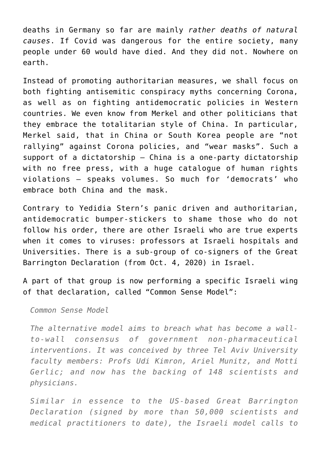deaths in Germany so far are mainly *rather deaths of natural causes*. If Covid was dangerous for the entire society, many people under 60 would have died. And they did not. Nowhere on earth.

Instead of promoting authoritarian measures, we shall focus on both fighting antisemitic conspiracy myths concerning Corona, as well as on fighting antidemocratic policies in Western countries. We even know from Merkel and other politicians that they embrace the totalitarian style of China. In particular, [Merkel said, that in China or South Korea people are "not](https://www.clemensheni.net/wie-antidemokratisch-und-chinesisch-denkt-angela-merkel-teil-1/) [rallying" against Corona policies, and "wear masks".](https://www.clemensheni.net/wie-antidemokratisch-und-chinesisch-denkt-angela-merkel-teil-1/) Such a support of a dictatorship – China is a one-party dictatorship with no free press, with a huge catalogue of human rights violations – speaks volumes. So much for 'democrats' who embrace both China and the mask.

Contrary to Yedidia Stern's panic driven and authoritarian, antidemocratic bumper-stickers to shame those who do not follow his order, there are other Israeli who are true experts when it comes to viruses: professors at Israeli hospitals and Universities. There is a sub-group of co-signers of the [Great](https://gbdeclaration.org/) [Barrington Declaration](https://gbdeclaration.org/) (from Oct. 4, 2020) in Israel.

A part of that group is now performing a specific Israeli wing of that declaration, called ["Common Sense Model](https://www.i24news.tv/en/news/coronavirus/1609424065-lockdown-policy-madness-israeli-scientist-tells-i24news)":

*Common Sense Model*

*The alternative model aims to breach what has become a wallto-wall consensus of government non-pharmaceutical interventions. It was conceived by three Tel Aviv University faculty members: Profs Udi Kimron, Ariel Munitz, and Motti Gerlic; and now has the backing of 148 scientists and physicians.*

*Similar in essence to the US-based Great Barrington Declaration (signed by more than 50,000 scientists and medical practitioners to date), the Israeli model calls to*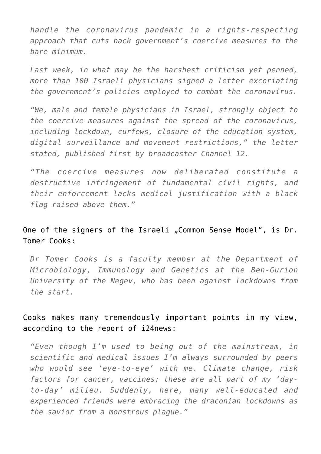*handle the coronavirus pandemic in a rights-respecting approach that cuts back government's coercive measures to the bare minimum.*

*Last week, in what may be the harshest criticism yet penned, more than 100 Israeli physicians signed a letter excoriating the government's policies employed to combat the coronavirus.*

*"We, male and female physicians in Israel, strongly object to the coercive measures against the spread of the coronavirus, including lockdown, curfews, closure of the education system, digital surveillance and movement restrictions," the letter stated, published first by broadcaster Channel 12.*

*"The coercive measures now deliberated constitute a destructive infringement of fundamental civil rights, and their enforcement lacks medical justification with a black flag raised above them."*

# One of the signers of the Israeli "Common Sense Model", is Dr. Tomer Cooks:

*Dr Tomer Cooks is a faculty member at the Department of Microbiology, Immunology and Genetics at the Ben-Gurion University of the Negev, who has been against lockdowns from the start.*

## Cooks makes many tremendously important points in my view, according to the report of [i24news:](https://www.i24news.tv/en/news/coronavirus/1609424065-lockdown-policy-madness-israeli-scientist-tells-i24news)

*"Even though I'm used to being out of the mainstream, in scientific and medical issues I'm always surrounded by peers who would see 'eye-to-eye' with me. Climate change, risk factors for cancer, vaccines; these are all part of my 'dayto-day' milieu. Suddenly, here, many well-educated and experienced friends were embracing the draconian lockdowns as the savior from a monstrous plague."*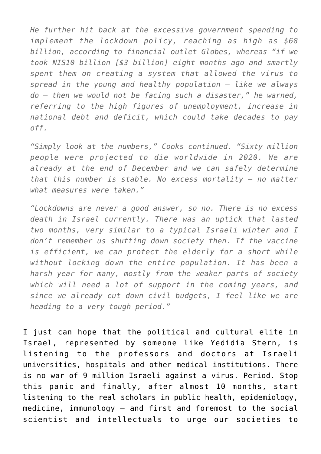*He further hit back at the excessive government spending to implement the lockdown policy, reaching as high as \$68 billion, according to financial outlet Globes, whereas "if we took NIS10 billion [\$3 billion] eight months ago and smartly spent them on creating a system that allowed the virus to spread in the young and healthy population — like we always do — then we would not be facing such a disaster," he warned, referring to the high figures of unemployment, increase in national debt and deficit, which could take decades to pay off.*

*"Simply look at the numbers," Cooks continued. "Sixty million people were projected to die worldwide in 2020. We are already at the end of December and we can safely determine that this number is stable. No excess mortality — no matter what measures were taken."*

*"Lockdowns are never a good answer, so no. There is no excess death in Israel currently. There was an uptick that lasted two months, very similar to a typical Israeli winter and I don't remember us shutting down society then. If the vaccine is efficient, we can protect the elderly for a short while without locking down the entire population. It has been a harsh year for many, mostly from the weaker parts of society which will need a lot of support in the coming years, and since we already cut down civil budgets, I feel like we are heading to a very tough period."*

I just can hope that the political and cultural elite in Israel, represented by someone like Yedidia Stern, is listening to the professors and doctors at Israeli universities, hospitals and other medical institutions. There is no war of 9 million Israeli against a virus. Period. Stop this panic and finally, after almost 10 months, start listening to the real scholars in public health, epidemiology, medicine, immunology – and first and foremost to the social scientist and intellectuals to urge our societies to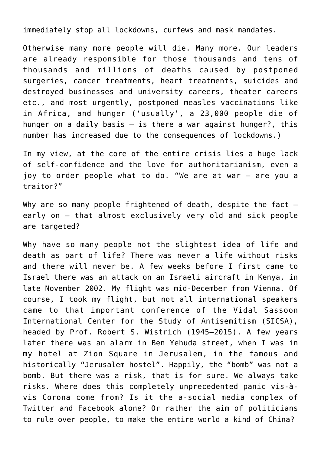immediately stop all lockdowns, curfews and mask mandates.

Otherwise many more people will die. Many more. Our leaders are already responsible for those thousands and tens of thousands and millions of deaths caused by postponed surgeries, cancer treatments, heart treatments, suicides and destroyed businesses and university careers, theater careers etc., and most urgently, postponed measles vaccinations like in Africa, and hunger ('usually', a 23,000 people die of hunger on a daily basis – is there a war against hunger?, this number has increased due to the consequences of lockdowns.)

In my view, at the core of the entire crisis lies a huge lack of self-confidence and the love for authoritarianism, even a joy to order people what to do. "We are at war – are you a traitor?"

Why are so many people frightened of death, despite the fact  $$ early on – that almost exclusively very old and sick people are targeted?

Why have so many people not the slightest idea of life and death as part of life? There was never a life without risks and there will never be. [A few weeks before I first came to](http://edition.cnn.com/2002/WORLD/africa/11/28/kenya.plane/) [Israel there was an attack on an Israeli aircraft in Kenya, in](http://edition.cnn.com/2002/WORLD/africa/11/28/kenya.plane/) [late November 2002.](http://edition.cnn.com/2002/WORLD/africa/11/28/kenya.plane/) My flight was mid-December from Vienna. Of course, I took my flight, but not all international speakers came to that important conference of the Vidal Sassoon International Center for the Study of Antisemitism (SICSA), headed by [Prof. Robert S. Wistrich \(1945–2015\).](https://www.bicsa.org/allgemein/the-end-of-an-era-in-memory-of-my-friend-the-historian-of-antisemitism-and-zionist-intellectual-prof-robert-s-wistrich/) A few years later there was an alarm in Ben Yehuda street, when I was in my hotel at Zion Square in Jerusalem, in the famous and historically "[Jerusalem hostel"](https://backpackisrael.com/2019/10/01/jerusalem-hostel-historical-and-very-budget-friendly/). Happily, the "bomb" was not a bomb. But there was a risk, that is for sure. We always take risks. Where does this completely unprecedented panic vis-àvis Corona come from? Is it the a-social media complex of Twitter and Facebook alone? Or rather the aim of politicians to rule over people, to make the entire world a kind of China?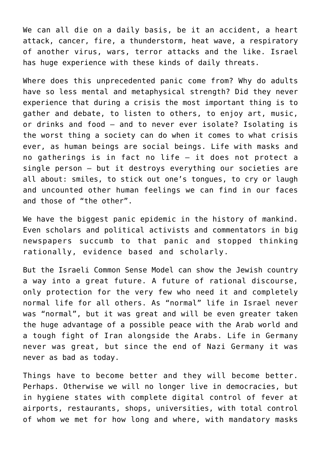We can all die on a daily basis, be it an accident, a heart attack, cancer, fire, a thunderstorm, heat wave, a respiratory of another virus, wars, terror attacks and the like. Israel has huge experience with these kinds of daily threats.

Where does this unprecedented panic come from? Why do adults have so less mental and metaphysical strength? Did they never experience that during a crisis the most important thing is to gather and debate, to listen to others, to enjoy art, music, or drinks and food – and to never ever isolate? Isolating is the worst thing a society can do when it comes to what crisis ever, as human beings are social beings. Life with masks and no gatherings is in fact no life – it does not protect a single person – but it destroys everything our societies are all about: smiles, to stick out one's tongues, to cry or laugh and uncounted other human feelings we can find in our faces and those of "the other".

We have the biggest panic epidemic in the history of mankind. Even scholars and political activists and commentators in big newspapers succumb to that panic and stopped thinking rationally, evidence based and scholarly.

But the Israeli Common Sense Model can show the Jewish country a way into a great future. A future of rational discourse, only protection for the very few who need it and completely normal life for all others. As "normal" life in Israel never was "normal", but it was great and will be even greater taken the huge advantage of a possible peace with the Arab world and a tough fight of Iran alongside the Arabs. Life in Germany never was great, but since the end of Nazi Germany it was never as bad as today.

Things have to become better and they will become better. Perhaps. Otherwise we will no longer live in democracies, but in hygiene states with complete digital control of fever at airports, restaurants, shops, universities, with total control of whom we met for how long and where, with mandatory masks